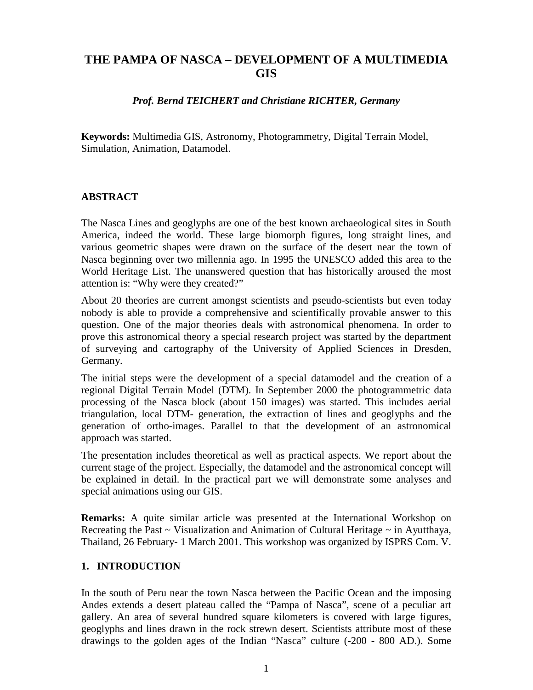# **THE PAMPA OF NASCA – DEVELOPMENT OF A MULTIMEDIA GIS**

#### *Prof. Bernd TEICHERT and Christiane RICHTER, Germany*

**Keywords:** Multimedia GIS, Astronomy, Photogrammetry, Digital Terrain Model, Simulation, Animation, Datamodel.

#### **ABSTRACT**

The Nasca Lines and geoglyphs are one of the best known archaeological sites in South America, indeed the world. These large biomorph figures, long straight lines, and various geometric shapes were drawn on the surface of the desert near the town of Nasca beginning over two millennia ago. In 1995 the UNESCO added this area to the World Heritage List. The unanswered question that has historically aroused the most attention is: "Why were they created?"

About 20 theories are current amongst scientists and pseudo-scientists but even today nobody is able to provide a comprehensive and scientifically provable answer to this question. One of the major theories deals with astronomical phenomena. In order to prove this astronomical theory a special research project was started by the department of surveying and cartography of the University of Applied Sciences in Dresden, Germany.

The initial steps were the development of a special datamodel and the creation of a regional Digital Terrain Model (DTM). In September 2000 the photogrammetric data processing of the Nasca block (about 150 images) was started. This includes aerial triangulation, local DTM- generation, the extraction of lines and geoglyphs and the generation of ortho-images. Parallel to that the development of an astronomical approach was started.

The presentation includes theoretical as well as practical aspects. We report about the current stage of the project. Especially, the datamodel and the astronomical concept will be explained in detail. In the practical part we will demonstrate some analyses and special animations using our GIS.

**Remarks:** A quite similar article was presented at the International Workshop on Recreating the Past  $\sim$  Visualization and Animation of Cultural Heritage  $\sim$  in Ayutthaya, Thailand, 26 February- 1 March 2001. This workshop was organized by ISPRS Com. V.

### **1. INTRODUCTION**

In the south of Peru near the town Nasca between the Pacific Ocean and the imposing Andes extends a desert plateau called the "Pampa of Nasca", scene of a peculiar art gallery. An area of several hundred square kilometers is covered with large figures, geoglyphs and lines drawn in the rock strewn desert. Scientists attribute most of these drawings to the golden ages of the Indian "Nasca" culture (-200 - 800 AD.). Some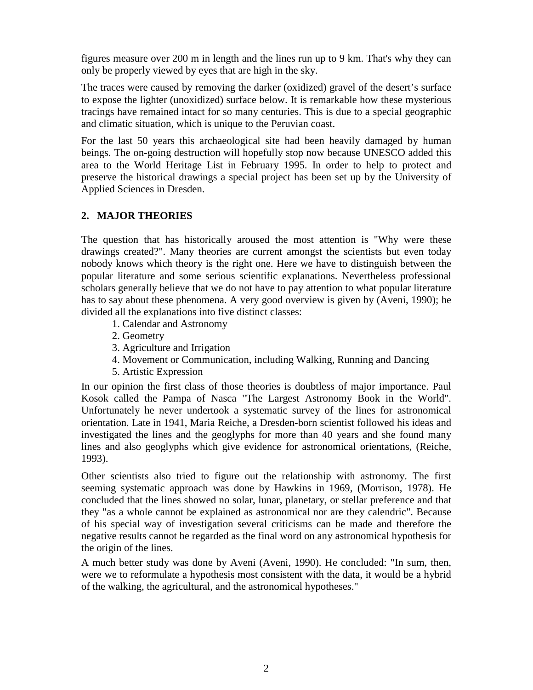figures measure over 200 m in length and the lines run up to 9 km. That's why they can only be properly viewed by eyes that are high in the sky.

The traces were caused by removing the darker (oxidized) gravel of the desert's surface to expose the lighter (unoxidized) surface below. It is remarkable how these mysterious tracings have remained intact for so many centuries. This is due to a special geographic and climatic situation, which is unique to the Peruvian coast.

For the last 50 years this archaeological site had been heavily damaged by human beings. The on-going destruction will hopefully stop now because UNESCO added this area to the World Heritage List in February 1995. In order to help to protect and preserve the historical drawings a special project has been set up by the University of Applied Sciences in Dresden.

## **2. MAJOR THEORIES**

The question that has historically aroused the most attention is "Why were these drawings created?". Many theories are current amongst the scientists but even today nobody knows which theory is the right one. Here we have to distinguish between the popular literature and some serious scientific explanations. Nevertheless professional scholars generally believe that we do not have to pay attention to what popular literature has to say about these phenomena. A very good overview is given by (Aveni, 1990); he divided all the explanations into five distinct classes:

- 1. Calendar and Astronomy
- 2. Geometry
- 3. Agriculture and Irrigation
- 4. Movement or Communication, including Walking, Running and Dancing
- 5. Artistic Expression

In our opinion the first class of those theories is doubtless of major importance. Paul Kosok called the Pampa of Nasca "The Largest Astronomy Book in the World". Unfortunately he never undertook a systematic survey of the lines for astronomical orientation. Late in 1941, Maria Reiche, a Dresden-born scientist followed his ideas and investigated the lines and the geoglyphs for more than 40 years and she found many lines and also geoglyphs which give evidence for astronomical orientations, (Reiche, 1993).

Other scientists also tried to figure out the relationship with astronomy. The first seeming systematic approach was done by Hawkins in 1969, (Morrison, 1978). He concluded that the lines showed no solar, lunar, planetary, or stellar preference and that they "as a whole cannot be explained as astronomical nor are they calendric". Because of his special way of investigation several criticisms can be made and therefore the negative results cannot be regarded as the final word on any astronomical hypothesis for the origin of the lines.

A much better study was done by Aveni (Aveni, 1990). He concluded: "In sum, then, were we to reformulate a hypothesis most consistent with the data, it would be a hybrid of the walking, the agricultural, and the astronomical hypotheses."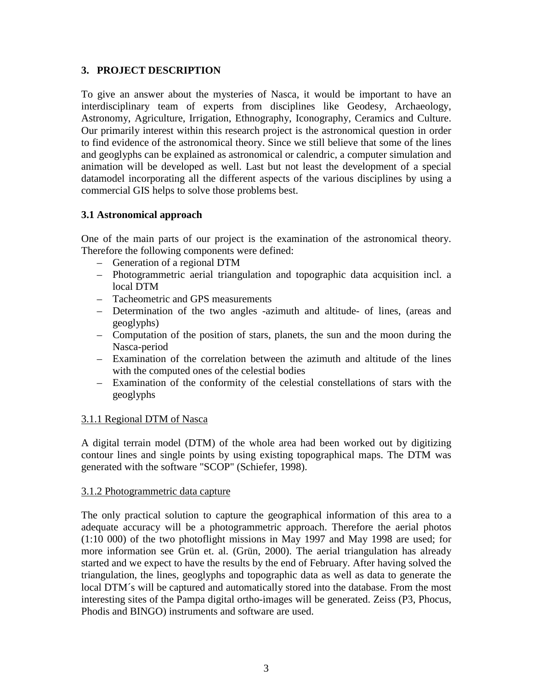## **3. PROJECT DESCRIPTION**

To give an answer about the mysteries of Nasca, it would be important to have an interdisciplinary team of experts from disciplines like Geodesy, Archaeology, Astronomy, Agriculture, Irrigation, Ethnography, Iconography, Ceramics and Culture. Our primarily interest within this research project is the astronomical question in order to find evidence of the astronomical theory. Since we still believe that some of the lines and geoglyphs can be explained as astronomical or calendric, a computer simulation and animation will be developed as well. Last but not least the development of a special datamodel incorporating all the different aspects of the various disciplines by using a commercial GIS helps to solve those problems best.

## **3.1 Astronomical approach**

One of the main parts of our project is the examination of the astronomical theory. Therefore the following components were defined:

- Generation of a regional DTM
- Photogrammetric aerial triangulation and topographic data acquisition incl. a local DTM
- Tacheometric and GPS measurements
- Determination of the two angles -azimuth and altitude- of lines, (areas and geoglyphs)
- Computation of the position of stars, planets, the sun and the moon during the Nasca-period
- Examination of the correlation between the azimuth and altitude of the lines with the computed ones of the celestial bodies
- Examination of the conformity of the celestial constellations of stars with the geoglyphs

### 3.1.1 Regional DTM of Nasca

A digital terrain model (DTM) of the whole area had been worked out by digitizing contour lines and single points by using existing topographical maps. The DTM was generated with the software "SCOP" (Schiefer, 1998).

### 3.1.2 Photogrammetric data capture

The only practical solution to capture the geographical information of this area to a adequate accuracy will be a photogrammetric approach. Therefore the aerial photos (1:10 000) of the two photoflight missions in May 1997 and May 1998 are used; for more information see Grün et. al. (Grün, 2000). The aerial triangulation has already started and we expect to have the results by the end of February. After having solved the triangulation, the lines, geoglyphs and topographic data as well as data to generate the local DTM´s will be captured and automatically stored into the database. From the most interesting sites of the Pampa digital ortho-images will be generated. Zeiss (P3, Phocus, Phodis and BINGO) instruments and software are used.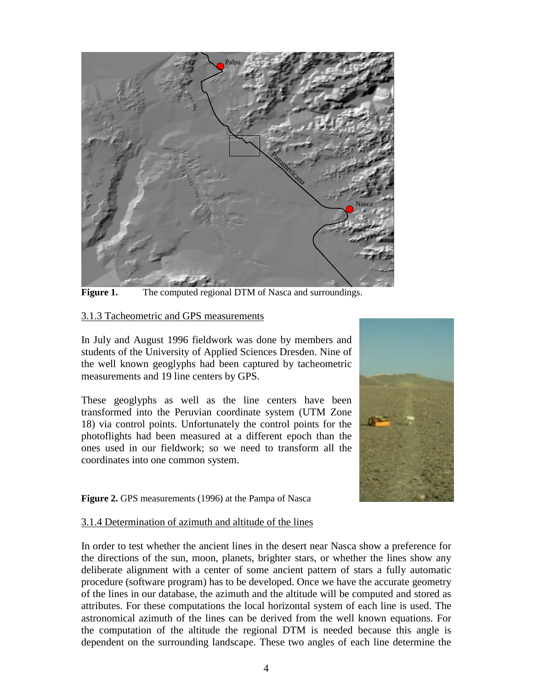

**Figure 1.** The computed regional DTM of Nasca and surroundings.

### 3.1.3 Tacheometric and GPS measurements

In July and August 1996 fieldwork was done by members and students of the University of Applied Sciences Dresden. Nine of the well known geoglyphs had been captured by tacheometric measurements and 19 line centers by GPS.

These geoglyphs as well as the line centers have been transformed into the Peruvian coordinate system (UTM Zone 18) via control points. Unfortunately the control points for the photoflights had been measured at a different epoch than the ones used in our fieldwork; so we need to transform all the coordinates into one common system.



Figure 2. GPS measurements (1996) at the Pampa of Nasca

### 3.1.4 Determination of azimuth and altitude of the lines

In order to test whether the ancient lines in the desert near Nasca show a preference for the directions of the sun, moon, planets, brighter stars, or whether the lines show any deliberate alignment with a center of some ancient pattern of stars a fully automatic procedure (software program) has to be developed. Once we have the accurate geometry of the lines in our database, the azimuth and the altitude will be computed and stored as attributes. For these computations the local horizontal system of each line is used. The astronomical azimuth of the lines can be derived from the well known equations. For the computation of the altitude the regional DTM is needed because this angle is dependent on the surrounding landscape. These two angles of each line determine the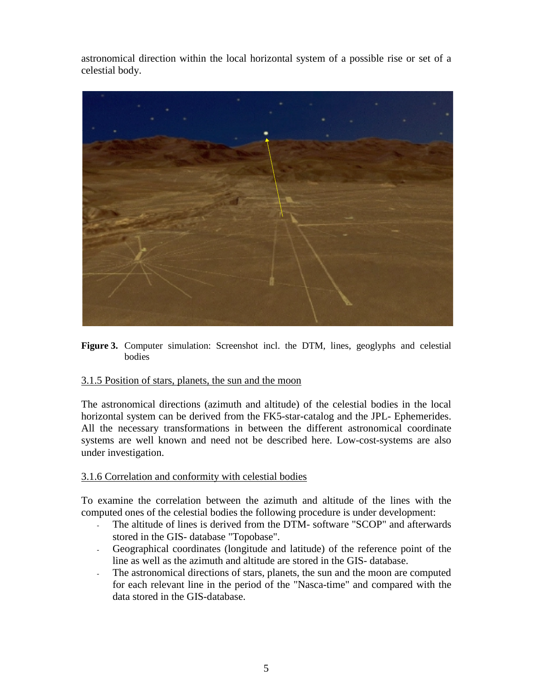astronomical direction within the local horizontal system of a possible rise or set of a celestial body.



**Figure 3.** Computer simulation: Screenshot incl. the DTM, lines, geoglyphs and celestial bodies

## 3.1.5 Position of stars, planets, the sun and the moon

The astronomical directions (azimuth and altitude) of the celestial bodies in the local horizontal system can be derived from the FK5-star-catalog and the JPL- Ephemerides. All the necessary transformations in between the different astronomical coordinate systems are well known and need not be described here. Low-cost-systems are also under investigation.

### 3.1.6 Correlation and conformity with celestial bodies

To examine the correlation between the azimuth and altitude of the lines with the computed ones of the celestial bodies the following procedure is under development:

- The altitude of lines is derived from the DTM- software "SCOP" and afterwards stored in the GIS- database "Topobase".
- Geographical coordinates (longitude and latitude) of the reference point of the line as well as the azimuth and altitude are stored in the GIS- database.
- The astronomical directions of stars, planets, the sun and the moon are computed for each relevant line in the period of the "Nasca-time" and compared with the data stored in the GIS-database.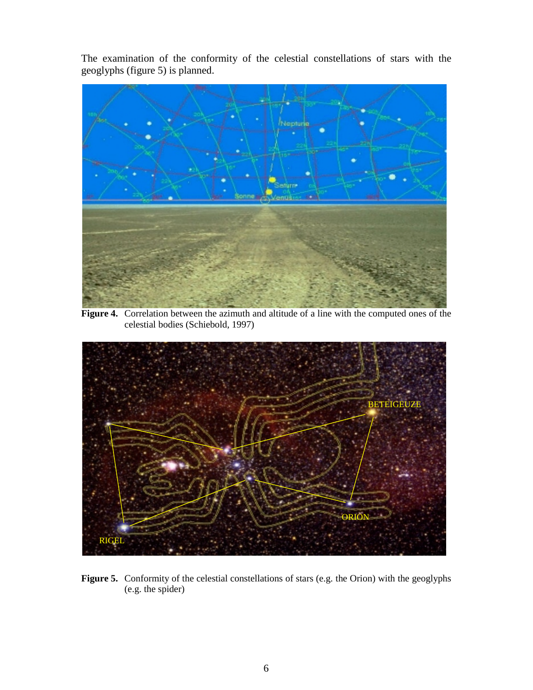The examination of the conformity of the celestial constellations of stars with the geoglyphs (figure 5) is planned.



**Figure 4.** Correlation between the azimuth and altitude of a line with the computed ones of the celestial bodies (Schiebold, 1997)



Figure 5. Conformity of the celestial constellations of stars (e.g. the Orion) with the geoglyphs (e.g. the spider)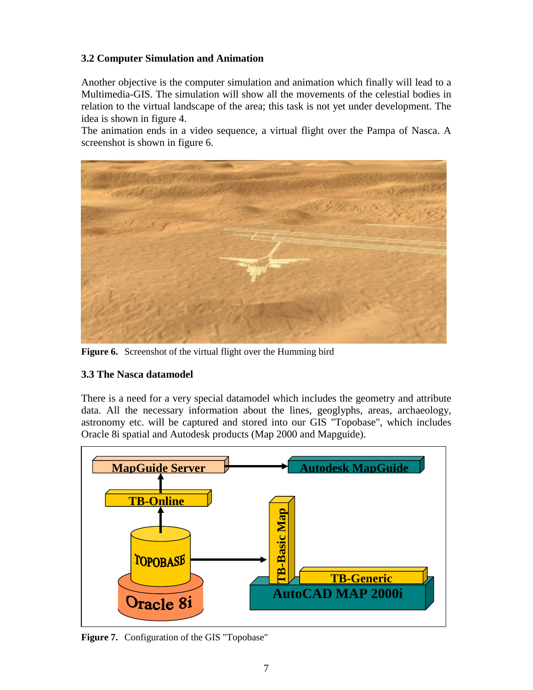## **3.2 Computer Simulation and Animation**

Another objective is the computer simulation and animation which finally will lead to a Multimedia-GIS. The simulation will show all the movements of the celestial bodies in relation to the virtual landscape of the area; this task is not yet under development. The idea is shown in figure 4.

The animation ends in a video sequence, a virtual flight over the Pampa of Nasca. A screenshot is shown in figure 6.



**Figure 6.** Screenshot of the virtual flight over the Humming bird

## **3.3 The Nasca datamodel**

There is a need for a very special datamodel which includes the geometry and attribute data. All the necessary information about the lines, geoglyphs, areas, archaeology, astronomy etc. will be captured and stored into our GIS "Topobase", which includes Oracle 8i spatial and Autodesk products (Map 2000 and Mapguide).



**Figure 7.** Configuration of the GIS "Topobase"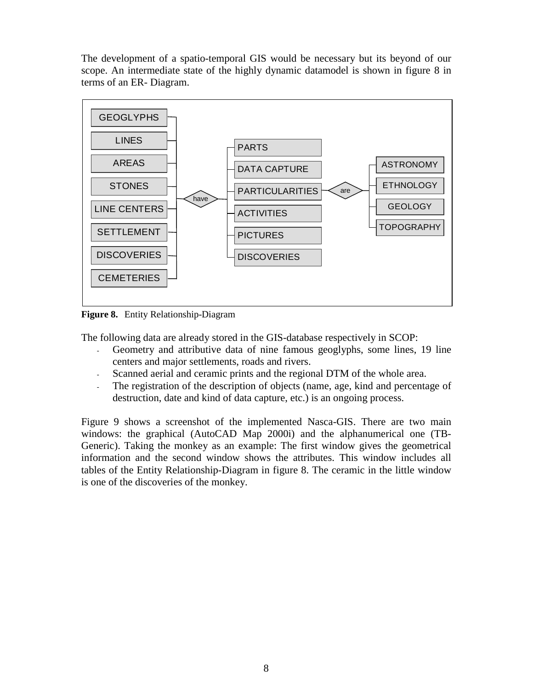The development of a spatio-temporal GIS would be necessary but its beyond of our scope. An intermediate state of the highly dynamic datamodel is shown in figure 8 in terms of an ER- Diagram.



**Figure 8.** Entity Relationship-Diagram

The following data are already stored in the GIS-database respectively in SCOP:

- Geometry and attributive data of nine famous geoglyphs, some lines, 19 line centers and major settlements, roads and rivers.
- Scanned aerial and ceramic prints and the regional DTM of the whole area.
- The registration of the description of objects (name, age, kind and percentage of destruction, date and kind of data capture, etc.) is an ongoing process.

Figure 9 shows a screenshot of the implemented Nasca-GIS. There are two main windows: the graphical (AutoCAD Map 2000i) and the alphanumerical one (TB-Generic). Taking the monkey as an example: The first window gives the geometrical information and the second window shows the attributes. This window includes all tables of the Entity Relationship-Diagram in figure 8. The ceramic in the little window is one of the discoveries of the monkey.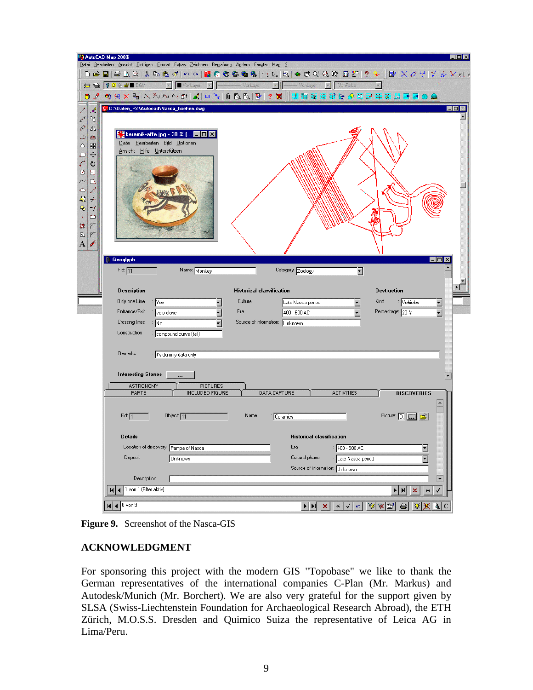|                                                 | Mi AutoCAD Map 2000i<br>$ \Box$ $\times$<br>Datei Bearbeiten Ansicht Einfügen Format Extras Zeichnen Bemaßung Ändern Fenster Map ?                                |
|-------------------------------------------------|-------------------------------------------------------------------------------------------------------------------------------------------------------------------|
|                                                 | ◘ ☞ ■ ● Q 약   ↓ ● @ ♂   ㅇ ~       高 ● ● ● ●   ㄱ ㄴ   +   ● 약 야 + 0 +     B   ? . ↑     B   X <i>O '</i> +   Y <i>☆ Y K *</i>                                       |
|                                                 | <b>BBOOKS</b><br>$\blacktriangleright$   $\blacktriangleright$ VonLayer<br>- VonLayer<br>vonFarbe<br>$\vert x \vert$<br>- VonLayer                                |
|                                                 | <b>◎ 3 │◎ ※ ╳ ℡│</b> ∆ ∆ ∧ ∧ ∪ │ ø│ │ º │ │ │ ◎ ◎ │ <mark>◎ │</mark> │ ? <mark>│</mark> │ │   □ ↓ 空 ☆ ◇ マ ヹ ヰ 光 調 調 器 ● ●                                         |
| ľ<br>$\mathscr{A}$                              | http://Daten_PZ\Autocad\Nasca_hoehen.dwg<br>$ \Box$ $\times$                                                                                                      |
| $\frac{1}{2}$<br>↙                              |                                                                                                                                                                   |
| 4<br>小<br>د<br>$\circledcirc$                   | <b>Keramik-affe.jpg</b> - 30 % ( $\blacksquare\blacksquare$                                                                                                       |
| 88<br>$\circ$                                   | Datei Bearbeiten Bild Optionen<br>Ansicht Hilfe Unterstützen                                                                                                      |
| $+$<br>$\Box$<br>$\mathcal{C}_{i}$<br>ပ         |                                                                                                                                                                   |
| $\circ$<br>囿                                    |                                                                                                                                                                   |
| $\sim$<br>$\Box$                                |                                                                                                                                                                   |
| $\circ$<br>吲<br>$\rightarrow$                   |                                                                                                                                                                   |
| 马<br>7                                          |                                                                                                                                                                   |
| $\mathbf{L}$<br>$\bullet$<br>$\frac{1}{2}$<br>Ÿ |                                                                                                                                                                   |
| $\boxed{\circ}$<br>Ï                            |                                                                                                                                                                   |
| $\overline{A}$<br>Ï                             |                                                                                                                                                                   |
|                                                 | <b>Geoglyph</b><br>$\Box$<br>lx                                                                                                                                   |
|                                                 | Fid: $11$<br>Name: Monkey<br>Category: Zoology<br>Ξ                                                                                                               |
|                                                 |                                                                                                                                                                   |
|                                                 | <b>Description</b><br><b>Historical classification</b><br><b>Destruction</b><br>Only one Line<br>Culture<br>Kind<br>∶ Vehicles                                    |
|                                                 | ∶ Yes<br><b>Late Nasca period</b><br>$\overline{\phantom{a}}$<br>Ξ<br>Entrance/Exit<br>Era<br>Percentage: 20 %<br>1400 - 600 AC<br>÷ very close                   |
|                                                 | Crossing lines<br>Source of information: Unknown<br>∶ No                                                                                                          |
|                                                 | Construction<br><b>Exampound curve (tail)</b>                                                                                                                     |
|                                                 |                                                                                                                                                                   |
|                                                 | Remarks<br>i it's dummy data only                                                                                                                                 |
|                                                 | <b>Interesting Stones</b>                                                                                                                                         |
|                                                 | ASTRONOMY<br><b>PICTURES</b>                                                                                                                                      |
|                                                 | <b>INCLUDED FIGURE</b><br>DATA CAPTURE<br>PARTS<br><b>ACTIVITIES</b><br><b>DISCOVERIES</b>                                                                        |
|                                                 |                                                                                                                                                                   |
|                                                 | Picture: D: [ [ ]<br>Fid: $\sqrt{1}$<br>Object: 11<br>Name<br>: Ceramics                                                                                          |
|                                                 | <b>Details</b><br><b>Historical classification</b>                                                                                                                |
|                                                 | Location of discovery: Pampa of Nasca<br>Era<br>$\frac{1}{400}$ - 600 AC<br>$\overline{\phantom{a}}$                                                              |
|                                                 | Deposit<br>Cultural phase<br>$\overline{\mathbf{r}}$<br><b>Unknown</b><br>Late Nasca period                                                                       |
|                                                 | Source of information: Unknown                                                                                                                                    |
|                                                 | Description<br>$\overline{\phantom{a}}$<br>Н<br>1 von 1 (Filter aktiv)                                                                                            |
|                                                 | $\blacktriangleright$ $\blacktriangleright$ $\mathsf{H}$<br>√<br>$\pmb{\times}$<br>$\ast$<br>К                                                                    |
|                                                 | $* V  \circ  V  \times  S $ $\oplus$<br>6 von 9<br>安溪区<br> 4 <br>$\blacktriangleright \vert \blacktriangleright \vert \negthickspace \vert \mathbf{x} \vert$<br>C |

**Figure 9.** Screenshot of the Nasca-GIS

## **ACKNOWLEDGMENT**

For sponsoring this project with the modern GIS "Topobase" we like to thank the German representatives of the international companies C-Plan (Mr. Markus) and Autodesk/Munich (Mr. Borchert). We are also very grateful for the support given by SLSA (Swiss-Liechtenstein Foundation for Archaeological Research Abroad), the ETH Zürich, M.O.S.S. Dresden and Quimico Suiza the representative of Leica AG in Lima/Peru.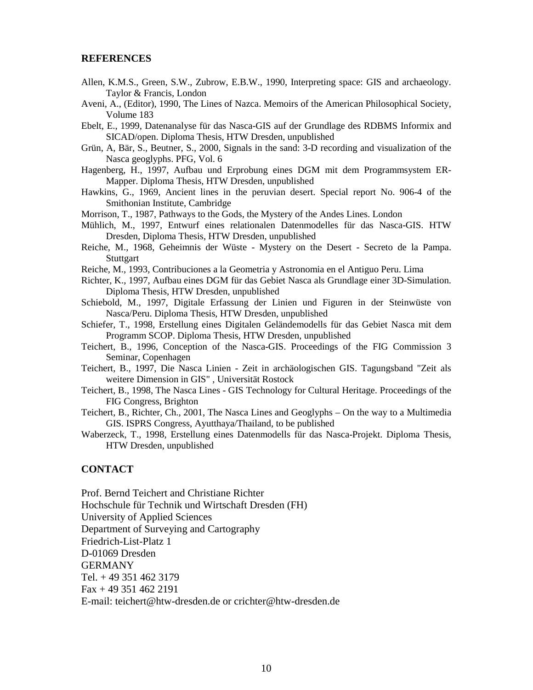#### **REFERENCES**

- Allen, K.M.S., Green, S.W., Zubrow, E.B.W., 1990, Interpreting space: GIS and archaeology. Taylor & Francis, London
- Aveni, A., (Editor), 1990, The Lines of Nazca. Memoirs of the American Philosophical Society, Volume 183
- Ebelt, E., 1999, Datenanalyse für das Nasca-GIS auf der Grundlage des RDBMS Informix and SICAD/open. Diploma Thesis, HTW Dresden, unpublished
- Grün, A, Bär, S., Beutner, S., 2000, Signals in the sand: 3-D recording and visualization of the Nasca geoglyphs. PFG, Vol. 6
- Hagenberg, H., 1997, Aufbau und Erprobung eines DGM mit dem Programmsystem ER-Mapper. Diploma Thesis, HTW Dresden, unpublished
- Hawkins, G., 1969, Ancient lines in the peruvian desert. Special report No. 906-4 of the Smithonian Institute, Cambridge
- Morrison, T., 1987, Pathways to the Gods, the Mystery of the Andes Lines. London
- Mühlich, M., 1997, Entwurf eines relationalen Datenmodelles für das Nasca-GIS. HTW Dresden, Diploma Thesis, HTW Dresden, unpublished
- Reiche, M., 1968, Geheimnis der Wüste Mystery on the Desert Secreto de la Pampa. **Stuttgart**
- Reiche, M., 1993, Contribuciones a la Geometria y Astronomia en el Antiguo Peru. Lima
- Richter, K., 1997, Aufbau eines DGM für das Gebiet Nasca als Grundlage einer 3D-Simulation. Diploma Thesis, HTW Dresden, unpublished

Schiebold, M., 1997, Digitale Erfassung der Linien und Figuren in der Steinwüste von Nasca/Peru. Diploma Thesis, HTW Dresden, unpublished

- Schiefer, T., 1998, Erstellung eines Digitalen Geländemodells für das Gebiet Nasca mit dem Programm SCOP. Diploma Thesis, HTW Dresden, unpublished
- Teichert, B., 1996, Conception of the Nasca-GIS. Proceedings of the FIG Commission 3 Seminar, Copenhagen
- Teichert, B., 1997, Die Nasca Linien Zeit in archäologischen GIS. Tagungsband "Zeit als weitere Dimension in GIS" , Universität Rostock
- Teichert, B., 1998, The Nasca Lines GIS Technology for Cultural Heritage. Proceedings of the FIG Congress, Brighton
- Teichert, B., Richter, Ch., 2001, The Nasca Lines and Geoglyphs On the way to a Multimedia GIS. ISPRS Congress, Ayutthaya/Thailand, to be published
- Waberzeck, T., 1998, Erstellung eines Datenmodells für das Nasca-Projekt. Diploma Thesis, HTW Dresden, unpublished

#### **CONTACT**

Prof. Bernd Teichert and Christiane Richter Hochschule für Technik und Wirtschaft Dresden (FH) University of Applied Sciences Department of Surveying and Cartography Friedrich-List-Platz 1 D-01069 Dresden GERMANY Tel. + 49 351 462 3179 Fax + 49 351 462 2191 E-mail: teichert@htw-dresden.de or crichter@htw-dresden.de